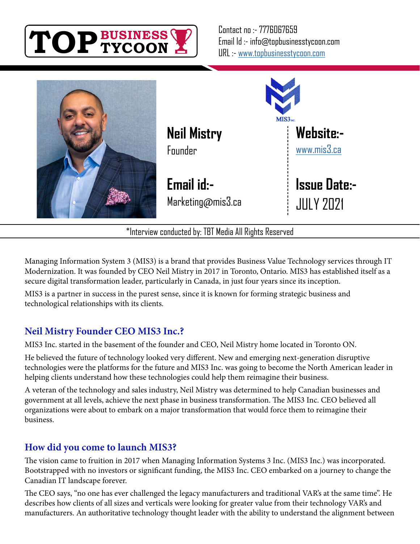



\*Interview conducted by: TBT Media All Rights Reserved

Managing Information System 3 (MIS3) is a brand that provides Business Value Technology services through IT Modernization. It was founded by CEO Neil Mistry in 2017 in Toronto, Ontario. MIS3 has established itself as a secure digital transformation leader, particularly in Canada, in just four years since its inception.

MIS3 is a partner in success in the purest sense, since it is known for forming strategic business and technological relationships with its clients.

#### **Neil Mistry Founder CEO MIS3 Inc.?**

MIS3 Inc. started in the basement of the founder and CEO, Neil Mistry home located in Toronto ON.

He believed the future of technology looked very different. New and emerging next-generation disruptive technologies were the platforms for the future and MIS3 Inc. was going to become the North American leader in helping clients understand how these technologies could help them reimagine their business.

A veteran of the technology and sales industry, Neil Mistry was determined to help Canadian businesses and government at all levels, achieve the next phase in business transformation. The MIS3 Inc. CEO believed all organizations were about to embark on a major transformation that would force them to reimagine their business.

#### **How did you come to launch MIS3?**

The vision came to fruition in 2017 when Managing Information Systems 3 Inc. (MIS3 Inc.) was incorporated. Bootstrapped with no investors or significant funding, the MIS3 Inc. CEO embarked on a journey to change the Canadian IT landscape forever.

The CEO says, "no one has ever challenged the legacy manufacturers and traditional VAR's at the same time". He describes how clients of all sizes and verticals were looking for greater value from their technology VAR's and manufacturers. An authoritative technology thought leader with the ability to understand the alignment between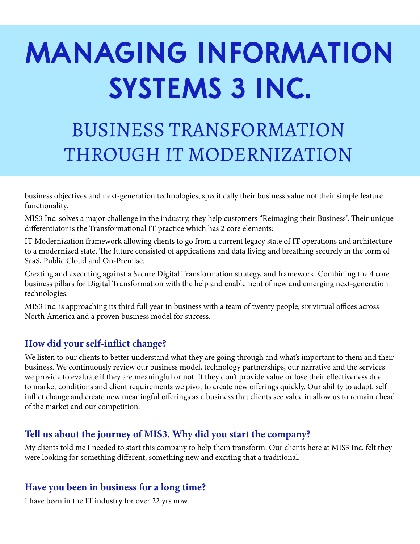# **MANAGING INFORMATION SYSTEMS 3 INC.**

## BUSINESS TRANSFORMATION THROUGH IT MODERNIZATION

business objectives and next-generation technologies, specifically their business value not their simple feature functionality.

MIS3 Inc. solves a major challenge in the industry, they help customers "Reimaging their Business". Their unique differentiator is the Transformational IT practice which has 2 core elements:

IT Modernization framework allowing clients to go from a current legacy state of IT operations and architecture to a modernized state. The future consisted of applications and data living and breathing securely in the form of SaaS, Public Cloud and On-Premise.

Creating and executing against a Secure Digital Transformation strategy, and framework. Combining the 4 core business pillars for Digital Transformation with the help and enablement of new and emerging next-generation technologies.

MIS3 Inc. is approaching its third full year in business with a team of twenty people, six virtual offices across North America and a proven business model for success.

#### **How did your self-inflict change?**

We listen to our clients to better understand what they are going through and what's important to them and their business. We continuously review our business model, technology partnerships, our narrative and the services we provide to evaluate if they are meaningful or not. If they don't provide value or lose their effectiveness due to market conditions and client requirements we pivot to create new offerings quickly. Our ability to adapt, self inflict change and create new meaningful offerings as a business that clients see value in allow us to remain ahead of the market and our competition.

#### **Tell us about the journey of MIS3. Why did you start the company?**

My clients told me I needed to start this company to help them transform. Our clients here at MIS3 Inc. felt they were looking for something different, something new and exciting that a traditional.

#### **Have you been in business for a long time?**

I have been in the IT industry for over 22 yrs now.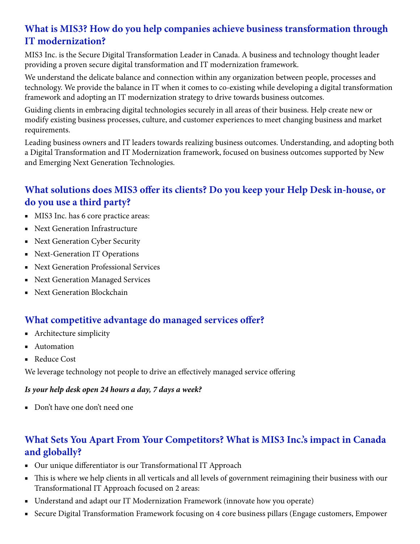### **What is MIS3? How do you help companies achieve business transformation through IT modernization?**

MIS3 Inc. is the Secure Digital Transformation Leader in Canada. A business and technology thought leader providing a proven secure digital transformation and IT modernization framework.

We understand the delicate balance and connection within any organization between people, processes and technology. We provide the balance in IT when it comes to co-existing while developing a digital transformation framework and adopting an IT modernization strategy to drive towards business outcomes.

Guiding clients in embracing digital technologies securely in all areas of their business. Help create new or modify existing business processes, culture, and customer experiences to meet changing business and market requirements.

Leading business owners and IT leaders towards realizing business outcomes. Understanding, and adopting both a Digital Transformation and IT Modernization framework, focused on business outcomes supported by New and Emerging Next Generation Technologies.

### **What solutions does MIS3 offer its clients? Do you keep your Help Desk in-house, or do you use a third party?**

- MIS3 Inc. has 6 core practice areas:
- Next Generation Infrastructure
- Next Generation Cyber Security
- Next-Generation IT Operations
- Next Generation Professional Services
- Next Generation Managed Services
- Next Generation Blockchain

#### **What competitive advantage do managed services offer?**

- Architecture simplicity
- Automation
- Reduce Cost

We leverage technology not people to drive an effectively managed service offering

#### *Is your help desk open 24 hours a day, 7 days a week?*

■ Don't have one don't need one

#### **What Sets You Apart From Your Competitors? What is MIS3 Inc.'s impact in Canada and globally?**

- Our unique differentiator is our Transformational IT Approach
- This is where we help clients in all verticals and all levels of government reimagining their business with our Transformational IT Approach focused on 2 areas:
- Understand and adapt our IT Modernization Framework (innovate how you operate)
- Secure Digital Transformation Framework focusing on 4 core business pillars (Engage customers, Empower